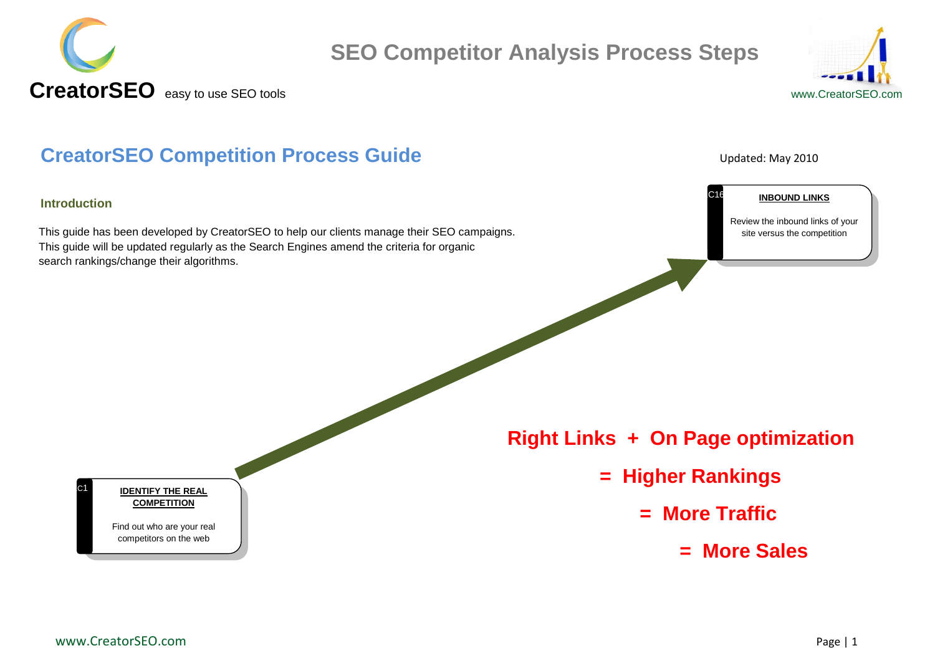



#### **CreatorSEO Competition Process Guide Competition Process Guide**

#### **Introduction**

 $|C1$ 

This guide has been developed by CreatorSEO to help our clients manage their SEO campaigns. This guide will be updated regularly as the Search Engines amend the criteria for organic search rankings/change their algorithms.

C16

**INBOUND LINKS**

Review the inbound links of your site versus the competition

 **Right Links + On Page optimization** 

- **= Higher Rankings** 
	- **= More Traffic** 
		- **= More Sales**

**IDENTIFY THE REAL COMPETITION**

Find out who are your real competitors on the web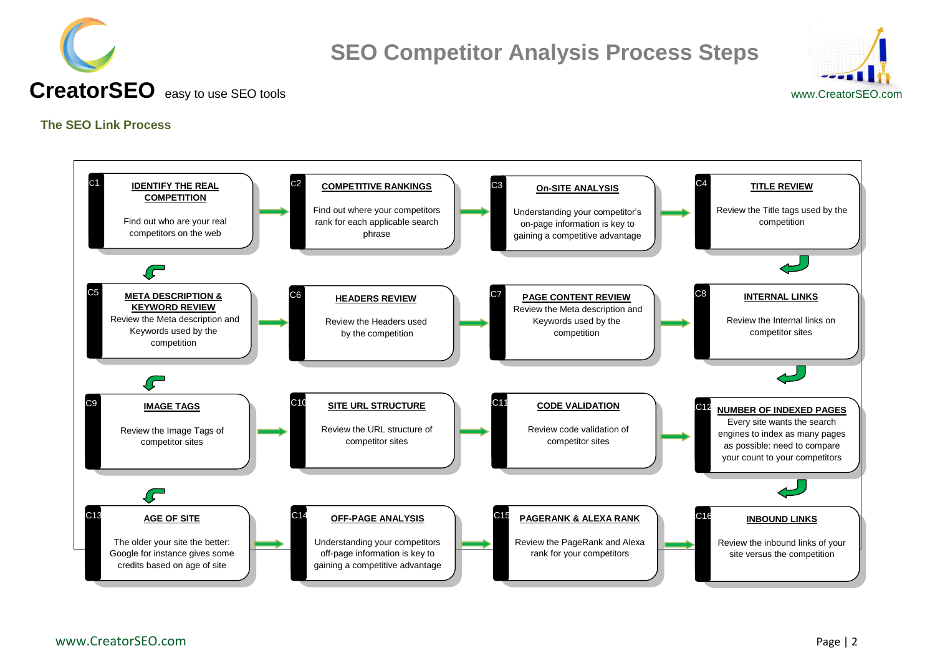



 **CreatorSEO** easy to use SEO toolswww.CreatorSEO.com

#### <span id="page-1-0"></span>**The SEO Link Process**

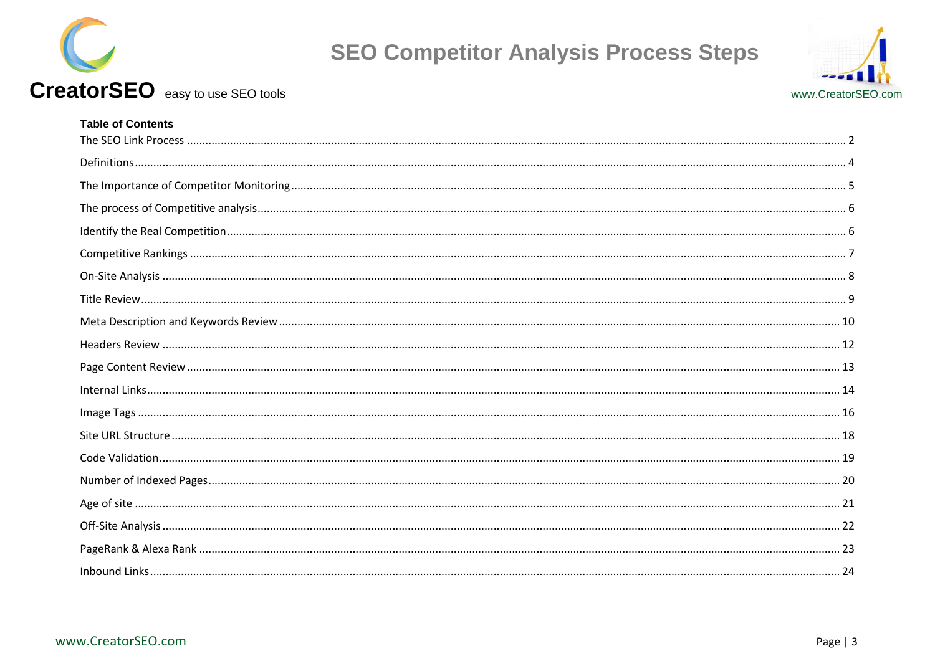





### **Table of Contents**

CreatorSEO easy to use SEO tools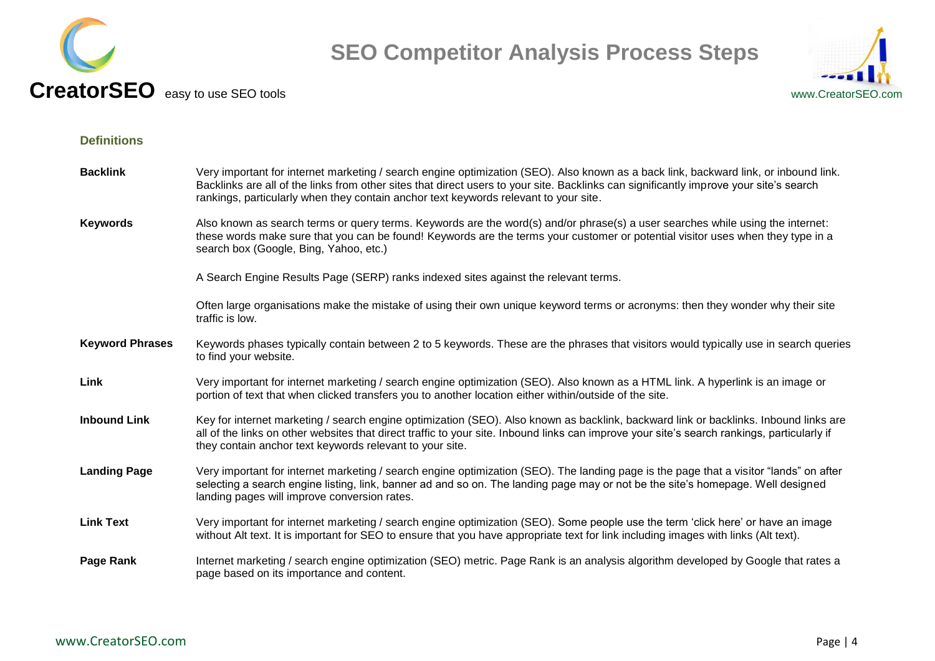



#### <span id="page-3-0"></span>**Definitions**

| <b>Backlink</b>        | Very important for internet marketing / search engine optimization (SEO). Also known as a back link, backward link, or inbound link.<br>Backlinks are all of the links from other sites that direct users to your site. Backlinks can significantly improve your site's search<br>rankings, particularly when they contain anchor text keywords relevant to your site. |
|------------------------|------------------------------------------------------------------------------------------------------------------------------------------------------------------------------------------------------------------------------------------------------------------------------------------------------------------------------------------------------------------------|
| <b>Keywords</b>        | Also known as search terms or query terms. Keywords are the word(s) and/or phrase(s) a user searches while using the internet:<br>these words make sure that you can be found! Keywords are the terms your customer or potential visitor uses when they type in a<br>search box (Google, Bing, Yahoo, etc.)                                                            |
|                        | A Search Engine Results Page (SERP) ranks indexed sites against the relevant terms.                                                                                                                                                                                                                                                                                    |
|                        | Often large organisations make the mistake of using their own unique keyword terms or acronyms: then they wonder why their site<br>traffic is low.                                                                                                                                                                                                                     |
| <b>Keyword Phrases</b> | Keywords phases typically contain between 2 to 5 keywords. These are the phrases that visitors would typically use in search queries<br>to find your website.                                                                                                                                                                                                          |
| Link                   | Very important for internet marketing / search engine optimization (SEO). Also known as a HTML link. A hyperlink is an image or<br>portion of text that when clicked transfers you to another location either within/outside of the site.                                                                                                                              |
| <b>Inbound Link</b>    | Key for internet marketing / search engine optimization (SEO). Also known as backlink, backward link or backlinks. Inbound links are<br>all of the links on other websites that direct traffic to your site. Inbound links can improve your site's search rankings, particularly if<br>they contain anchor text keywords relevant to your site.                        |
| <b>Landing Page</b>    | Very important for internet marketing / search engine optimization (SEO). The landing page is the page that a visitor "lands" on after<br>selecting a search engine listing, link, banner ad and so on. The landing page may or not be the site's homepage. Well designed<br>landing pages will improve conversion rates.                                              |
| <b>Link Text</b>       | Very important for internet marketing / search engine optimization (SEO). Some people use the term 'click here' or have an image<br>without Alt text. It is important for SEO to ensure that you have appropriate text for link including images with links (Alt text).                                                                                                |
| Page Rank              | Internet marketing / search engine optimization (SEO) metric. Page Rank is an analysis algorithm developed by Google that rates a<br>page based on its importance and content.                                                                                                                                                                                         |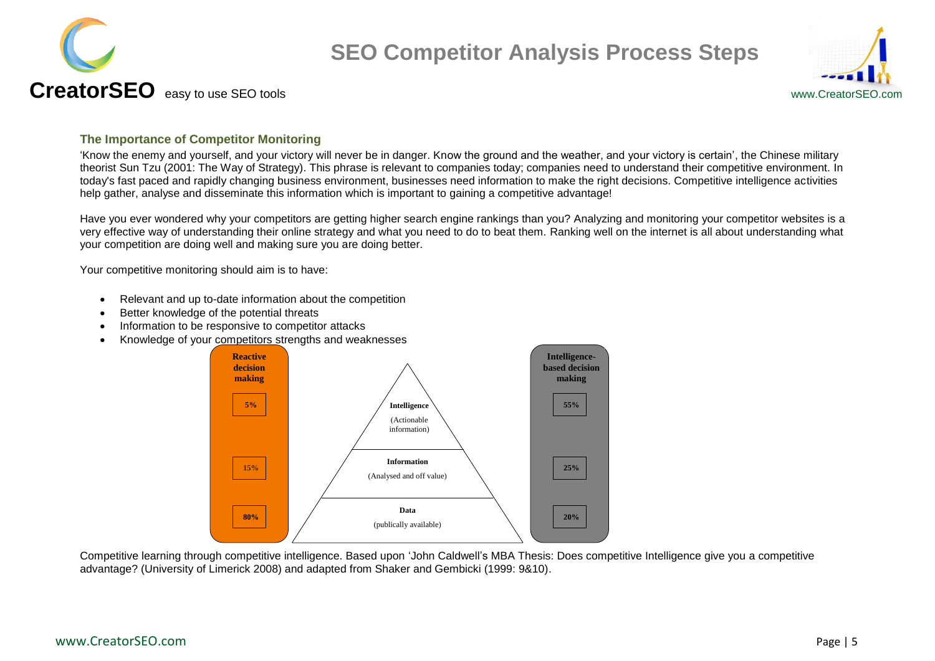



#### <span id="page-4-0"></span>**The Importance of Competitor Monitoring**

"Know the enemy and yourself, and your victory will never be in danger. Know the ground and the weather, and your victory is certain", the Chinese military theorist Sun Tzu (2001: The Way of Strategy). This phrase is relevant to companies today; companies need to understand their competitive environment. In today's fast paced and rapidly changing business environment, businesses need information to make the right decisions. Competitive intelligence activities help gather, analyse and disseminate this information which is important to gaining a competitive advantage!

Have you ever wondered why your competitors are getting higher search engine rankings than you? Analyzing and monitoring your competitor websites is a very effective way of understanding their online strategy and what you need to do to beat them. Ranking well on the internet is all about understanding what your competition are doing well and making sure you are doing better.

Your competitive monitoring should aim is to have:

- Relevant and up to-date information about the competition
- Better knowledge of the potential threats
- Information to be responsive to competitor attacks
- Knowledge of your competitors strengths and weaknesses



Competitive learning through competitive intelligence. Based upon "John Caldwell"s MBA Thesis: Does competitive Intelligence give you a competitive advantage? (University of Limerick 2008) and adapted from Shaker and Gembicki (1999: 9&10).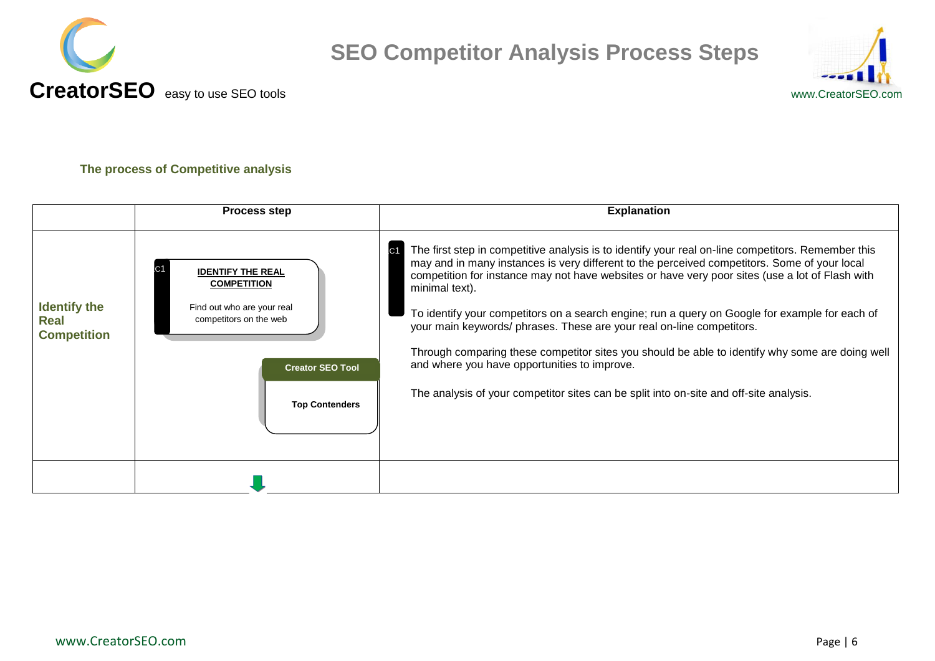



#### <span id="page-5-0"></span>**The process of Competitive analysis**

<span id="page-5-1"></span>

|                                                          | <b>Process step</b>                                                                                                                                        | <b>Explanation</b>                                                                                                                                                                                                                                                                                                                                                                                                                                                                                                                                                                                                                                                                                                                                                |
|----------------------------------------------------------|------------------------------------------------------------------------------------------------------------------------------------------------------------|-------------------------------------------------------------------------------------------------------------------------------------------------------------------------------------------------------------------------------------------------------------------------------------------------------------------------------------------------------------------------------------------------------------------------------------------------------------------------------------------------------------------------------------------------------------------------------------------------------------------------------------------------------------------------------------------------------------------------------------------------------------------|
| <b>Identify the</b><br><b>Real</b><br><b>Competition</b> | <b>IDENTIFY THE REAL</b><br><b>COMPETITION</b><br>Find out who are your real<br>competitors on the web<br><b>Creator SEO Tool</b><br><b>Top Contenders</b> | The first step in competitive analysis is to identify your real on-line competitors. Remember this<br>C <sub>1</sub><br>may and in many instances is very different to the perceived competitors. Some of your local<br>competition for instance may not have websites or have very poor sites (use a lot of Flash with<br>minimal text).<br>To identify your competitors on a search engine; run a query on Google for example for each of<br>your main keywords/ phrases. These are your real on-line competitors.<br>Through comparing these competitor sites you should be able to identify why some are doing well<br>and where you have opportunities to improve.<br>The analysis of your competitor sites can be split into on-site and off-site analysis. |
|                                                          |                                                                                                                                                            |                                                                                                                                                                                                                                                                                                                                                                                                                                                                                                                                                                                                                                                                                                                                                                   |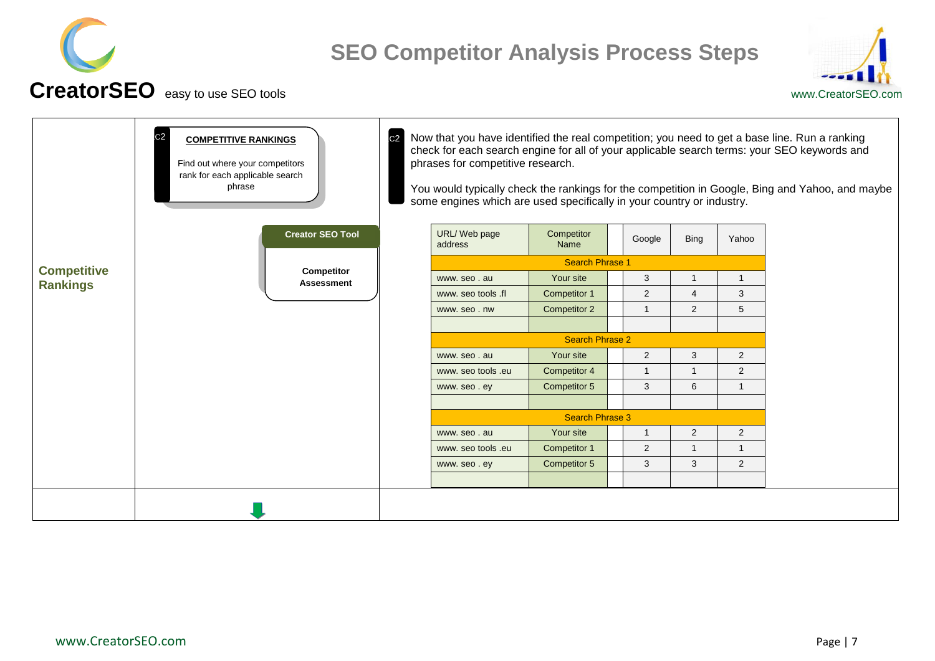



<span id="page-6-0"></span>

|                                       | C <sub>2</sub><br><b>COMPETITIVE RANKINGS</b><br>Find out where your competitors<br>rank for each applicable search<br>phrase | C <sub>2</sub> | phrases for competitive research.<br>some engines which are used specifically in your country or industry. |                        |                         |                |                | Now that you have identified the real competition; you need to get a base line. Run a ranking<br>check for each search engine for all of your applicable search terms: your SEO keywords and<br>You would typically check the rankings for the competition in Google, Bing and Yahoo, and maybe |
|---------------------------------------|-------------------------------------------------------------------------------------------------------------------------------|----------------|------------------------------------------------------------------------------------------------------------|------------------------|-------------------------|----------------|----------------|-------------------------------------------------------------------------------------------------------------------------------------------------------------------------------------------------------------------------------------------------------------------------------------------------|
|                                       | <b>Creator SEO Tool</b>                                                                                                       |                | URL/Web page<br>address                                                                                    | Competitor<br>Name     | Google                  | <b>Bing</b>    | Yahoo          |                                                                                                                                                                                                                                                                                                 |
|                                       |                                                                                                                               |                |                                                                                                            | <b>Search Phrase 1</b> |                         |                |                |                                                                                                                                                                                                                                                                                                 |
| <b>Competitive</b><br><b>Rankings</b> | <b>Competitor</b><br><b>Assessment</b>                                                                                        |                | www.seo.au                                                                                                 | Your site              | 3                       |                | $\mathbf 1$    |                                                                                                                                                                                                                                                                                                 |
|                                       |                                                                                                                               |                | www. seo tools .fl                                                                                         | Competitor 1           | $\mathbf{2}$            | 4              | 3              |                                                                                                                                                                                                                                                                                                 |
|                                       |                                                                                                                               |                | www.seo.nw                                                                                                 | Competitor 2           | $\overline{\mathbf{1}}$ | $\overline{2}$ | 5              |                                                                                                                                                                                                                                                                                                 |
|                                       |                                                                                                                               |                |                                                                                                            |                        |                         |                |                |                                                                                                                                                                                                                                                                                                 |
|                                       |                                                                                                                               |                |                                                                                                            | <b>Search Phrase 2</b> |                         |                |                |                                                                                                                                                                                                                                                                                                 |
|                                       |                                                                                                                               |                | www.seo.au                                                                                                 | Your site              | $\overline{2}$          | 3              | $\overline{2}$ |                                                                                                                                                                                                                                                                                                 |
|                                       |                                                                                                                               |                | www. seo tools .eu                                                                                         | Competitor 4           | $\overline{\mathbf{1}}$ | $\overline{1}$ | $\overline{2}$ |                                                                                                                                                                                                                                                                                                 |
|                                       |                                                                                                                               |                | www.seo.ey                                                                                                 | Competitor 5           | 3                       | 6              | $\mathbf{1}$   |                                                                                                                                                                                                                                                                                                 |
|                                       |                                                                                                                               |                |                                                                                                            |                        |                         |                |                |                                                                                                                                                                                                                                                                                                 |
|                                       |                                                                                                                               |                |                                                                                                            | <b>Search Phrase 3</b> |                         |                |                |                                                                                                                                                                                                                                                                                                 |
|                                       |                                                                                                                               |                | www.seo.au                                                                                                 | Your site              |                         | $\overline{2}$ | $\overline{2}$ |                                                                                                                                                                                                                                                                                                 |
|                                       |                                                                                                                               |                | www. seo tools .eu                                                                                         | Competitor 1           | 2                       |                | $\mathbf{1}$   |                                                                                                                                                                                                                                                                                                 |
|                                       |                                                                                                                               |                | www.seo.ey                                                                                                 | Competitor 5           | 3                       | 3              | 2              |                                                                                                                                                                                                                                                                                                 |
|                                       |                                                                                                                               |                |                                                                                                            |                        |                         |                |                |                                                                                                                                                                                                                                                                                                 |
|                                       |                                                                                                                               |                |                                                                                                            |                        |                         |                |                |                                                                                                                                                                                                                                                                                                 |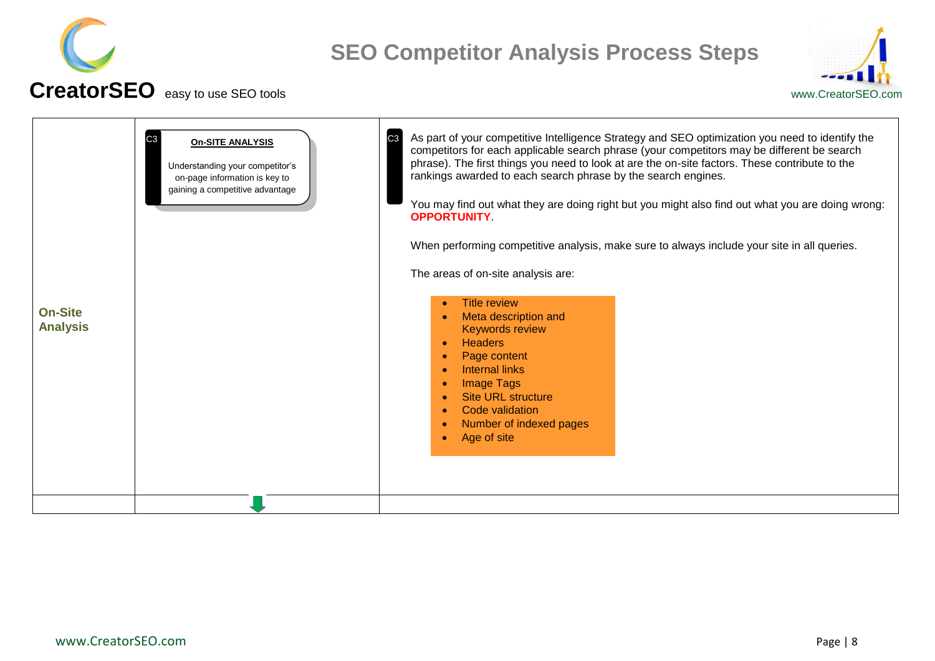



<span id="page-7-0"></span>

|                                   | C <sub>3</sub><br><b>On-SITE ANALYSIS</b><br>Understanding your competitor's<br>on-page information is key to<br>gaining a competitive advantage | As part of your competitive Intelligence Strategy and SEO optimization you need to identify the<br>C <sub>3</sub><br>competitors for each applicable search phrase (your competitors may be different be search<br>phrase). The first things you need to look at are the on-site factors. These contribute to the<br>rankings awarded to each search phrase by the search engines.<br>You may find out what they are doing right but you might also find out what you are doing wrong:<br><b>OPPORTUNITY</b><br>When performing competitive analysis, make sure to always include your site in all queries.<br>The areas of on-site analysis are: |
|-----------------------------------|--------------------------------------------------------------------------------------------------------------------------------------------------|---------------------------------------------------------------------------------------------------------------------------------------------------------------------------------------------------------------------------------------------------------------------------------------------------------------------------------------------------------------------------------------------------------------------------------------------------------------------------------------------------------------------------------------------------------------------------------------------------------------------------------------------------|
| <b>On-Site</b><br><b>Analysis</b> |                                                                                                                                                  | <b>Title review</b><br>Meta description and<br><b>Keywords review</b>                                                                                                                                                                                                                                                                                                                                                                                                                                                                                                                                                                             |
|                                   |                                                                                                                                                  | <b>Headers</b><br>Page content<br>Internal links                                                                                                                                                                                                                                                                                                                                                                                                                                                                                                                                                                                                  |
|                                   |                                                                                                                                                  | <b>Image Tags</b><br><b>Site URL structure</b>                                                                                                                                                                                                                                                                                                                                                                                                                                                                                                                                                                                                    |
|                                   |                                                                                                                                                  | Code validation<br>Number of indexed pages<br>Age of site                                                                                                                                                                                                                                                                                                                                                                                                                                                                                                                                                                                         |
|                                   |                                                                                                                                                  |                                                                                                                                                                                                                                                                                                                                                                                                                                                                                                                                                                                                                                                   |
|                                   |                                                                                                                                                  |                                                                                                                                                                                                                                                                                                                                                                                                                                                                                                                                                                                                                                                   |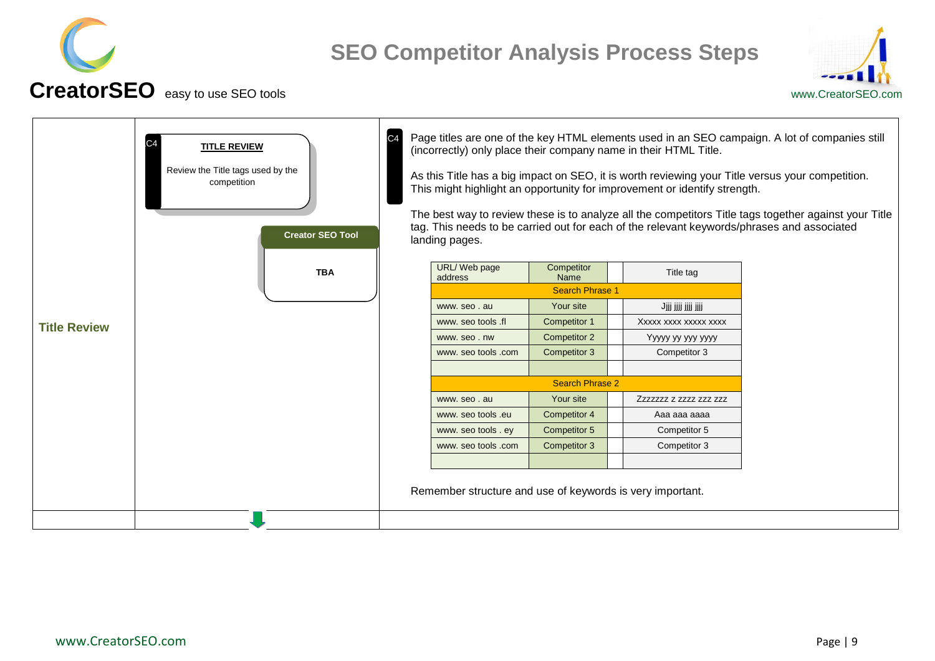



<span id="page-8-0"></span>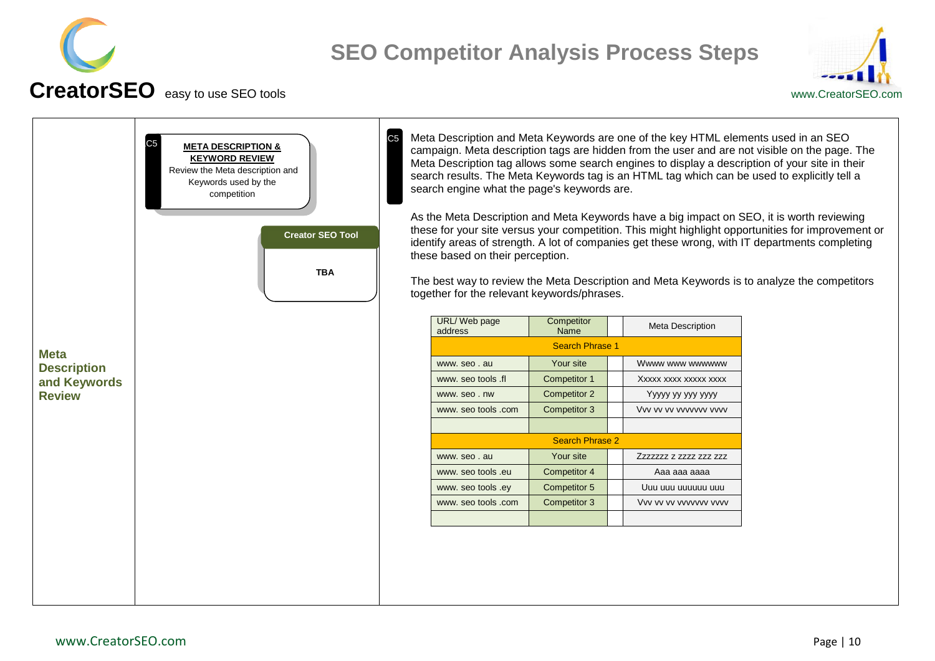



<span id="page-9-0"></span>

|                    | C <sub>5</sub><br><b>META DESCRIPTION &amp;</b><br><b>KEYWORD REVIEW</b><br>Review the Meta description and<br>Keywords used by the<br>competition<br><b>Creator SEO Tool</b><br><b>TBA</b> | C <sub>5</sub> | search engine what the page's keywords are.<br>these based on their perception.<br>together for the relevant keywords/phrases. |                        | Meta Description and Meta Keywords are one of the key HTML elements used in an SEO | campaign. Meta description tags are hidden from the user and are not visible on the page. The<br>Meta Description tag allows some search engines to display a description of your site in their<br>search results. The Meta Keywords tag is an HTML tag which can be used to explicitly tell a<br>As the Meta Description and Meta Keywords have a big impact on SEO, it is worth reviewing<br>these for your site versus your competition. This might highlight opportunities for improvement or<br>identify areas of strength. A lot of companies get these wrong, with IT departments completing<br>The best way to review the Meta Description and Meta Keywords is to analyze the competitors |
|--------------------|---------------------------------------------------------------------------------------------------------------------------------------------------------------------------------------------|----------------|--------------------------------------------------------------------------------------------------------------------------------|------------------------|------------------------------------------------------------------------------------|----------------------------------------------------------------------------------------------------------------------------------------------------------------------------------------------------------------------------------------------------------------------------------------------------------------------------------------------------------------------------------------------------------------------------------------------------------------------------------------------------------------------------------------------------------------------------------------------------------------------------------------------------------------------------------------------------|
|                    |                                                                                                                                                                                             |                | URL/Web page<br>address                                                                                                        | Competitor<br>Name     | <b>Meta Description</b>                                                            |                                                                                                                                                                                                                                                                                                                                                                                                                                                                                                                                                                                                                                                                                                    |
| <b>Meta</b>        |                                                                                                                                                                                             |                |                                                                                                                                | <b>Search Phrase 1</b> |                                                                                    |                                                                                                                                                                                                                                                                                                                                                                                                                                                                                                                                                                                                                                                                                                    |
| <b>Description</b> |                                                                                                                                                                                             |                | www.seo.au                                                                                                                     | Your site              | Wwww www wwwwww                                                                    |                                                                                                                                                                                                                                                                                                                                                                                                                                                                                                                                                                                                                                                                                                    |
| and Keywords       |                                                                                                                                                                                             |                | www. seo tools .fl                                                                                                             | Competitor 1           | Xxxxx xxxx xxxxx xxxx                                                              |                                                                                                                                                                                                                                                                                                                                                                                                                                                                                                                                                                                                                                                                                                    |
| <b>Review</b>      |                                                                                                                                                                                             |                | www.seo.nw                                                                                                                     | Competitor 2           | Yyyyy yy yyy yyyy                                                                  |                                                                                                                                                                                                                                                                                                                                                                                                                                                                                                                                                                                                                                                                                                    |
|                    |                                                                                                                                                                                             |                | www. seo tools .com                                                                                                            | Competitor 3           | Vvv vv vv vvvvvvv vvvv                                                             |                                                                                                                                                                                                                                                                                                                                                                                                                                                                                                                                                                                                                                                                                                    |
|                    |                                                                                                                                                                                             |                |                                                                                                                                |                        |                                                                                    |                                                                                                                                                                                                                                                                                                                                                                                                                                                                                                                                                                                                                                                                                                    |
|                    |                                                                                                                                                                                             |                |                                                                                                                                | <b>Search Phrase 2</b> |                                                                                    |                                                                                                                                                                                                                                                                                                                                                                                                                                                                                                                                                                                                                                                                                                    |
|                    |                                                                                                                                                                                             |                | www.seo.au                                                                                                                     | Your site              | Zzzzzzz z zzzz zzz zzz                                                             |                                                                                                                                                                                                                                                                                                                                                                                                                                                                                                                                                                                                                                                                                                    |
|                    |                                                                                                                                                                                             |                | www. seo tools .eu                                                                                                             | Competitor 4           | Aaa aaa aaaa                                                                       |                                                                                                                                                                                                                                                                                                                                                                                                                                                                                                                                                                                                                                                                                                    |
|                    |                                                                                                                                                                                             |                | www. seo tools .ey                                                                                                             | Competitor 5           | Uuu uuu uuuuuu uuu                                                                 |                                                                                                                                                                                                                                                                                                                                                                                                                                                                                                                                                                                                                                                                                                    |
|                    |                                                                                                                                                                                             |                | www. seo tools .com                                                                                                            | Competitor 3           | Vvv vv vv vvvvvvv vvvv                                                             |                                                                                                                                                                                                                                                                                                                                                                                                                                                                                                                                                                                                                                                                                                    |
|                    |                                                                                                                                                                                             |                |                                                                                                                                |                        |                                                                                    |                                                                                                                                                                                                                                                                                                                                                                                                                                                                                                                                                                                                                                                                                                    |
|                    |                                                                                                                                                                                             |                |                                                                                                                                |                        |                                                                                    |                                                                                                                                                                                                                                                                                                                                                                                                                                                                                                                                                                                                                                                                                                    |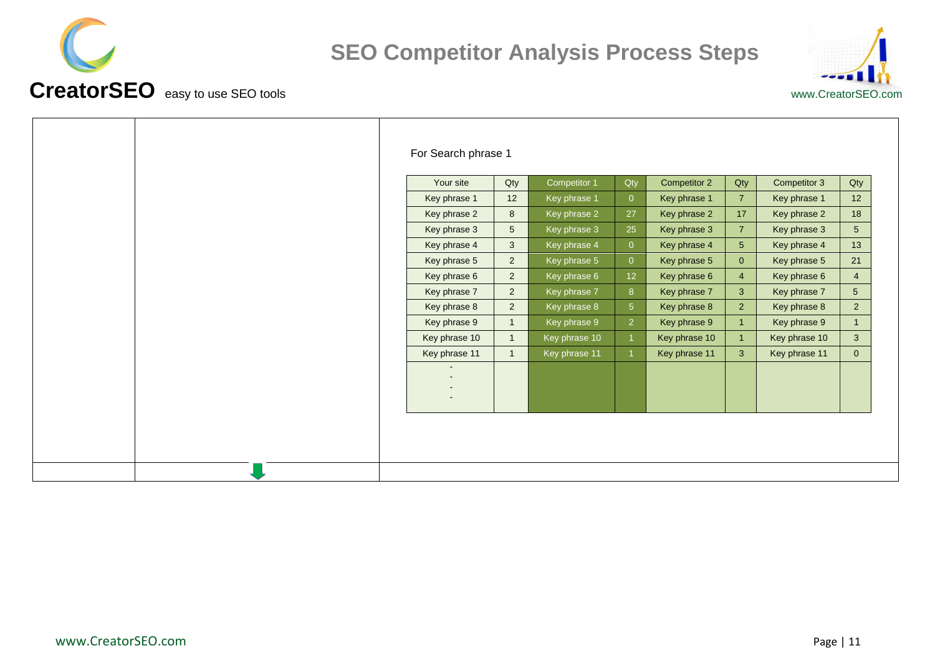



| www.CreatorSEO.c |
|------------------|

|  | For Search phrase 1 |                |               |                 |               |                |               |                |
|--|---------------------|----------------|---------------|-----------------|---------------|----------------|---------------|----------------|
|  | Your site           | Qty            | Competitor 1  | Qty             | Competitor 2  | Qty            | Competitor 3  | Qty            |
|  | Key phrase 1        | 12             | Key phrase 1  | $\overline{0}$  | Key phrase 1  | $\overline{7}$ | Key phrase 1  | 12             |
|  | Key phrase 2        | 8              | Key phrase 2  | 27              | Key phrase 2  | 17             | Key phrase 2  | 18             |
|  | Key phrase 3        | 5              | Key phrase 3  | 25              | Key phrase 3  | $\overline{7}$ | Key phrase 3  | 5 <sup>5</sup> |
|  | Key phrase 4        | 3              | Key phrase 4  | $\overline{0}$  | Key phrase 4  | 5 <sup>5</sup> | Key phrase 4  | 13             |
|  | Key phrase 5        | $\overline{2}$ | Key phrase 5  | $\overline{0}$  | Key phrase 5  | $\mathbf{0}$   | Key phrase 5  | 21             |
|  | Key phrase 6        | $\overline{2}$ | Key phrase 6  | 12 <sup>°</sup> | Key phrase 6  | $\overline{4}$ | Key phrase 6  | $\overline{4}$ |
|  | Key phrase 7        | $\overline{2}$ | Key phrase 7  | 8 <sup>°</sup>  | Key phrase 7  | $\mathbf{3}$   | Key phrase 7  | 5 <sup>5</sup> |
|  | Key phrase 8        | $\overline{2}$ | Key phrase 8  | 5 <sup>5</sup>  | Key phrase 8  | $\overline{2}$ | Key phrase 8  | $2^{\circ}$    |
|  | Key phrase 9        | $\mathbf{1}$   | Key phrase 9  | $\overline{2}$  | Key phrase 9  | $\mathbf{1}$   | Key phrase 9  | $\mathbf{1}$   |
|  | Key phrase 10       | $\overline{1}$ | Key phrase 10 |                 | Key phrase 10 |                | Key phrase 10 | 3 <sup>5</sup> |
|  | Key phrase 11       | $\overline{1}$ | Key phrase 11 |                 | Key phrase 11 | $\mathbf{3}$   | Key phrase 11 | $\overline{0}$ |
|  |                     |                |               |                 |               |                |               |                |
|  |                     |                |               |                 |               |                |               |                |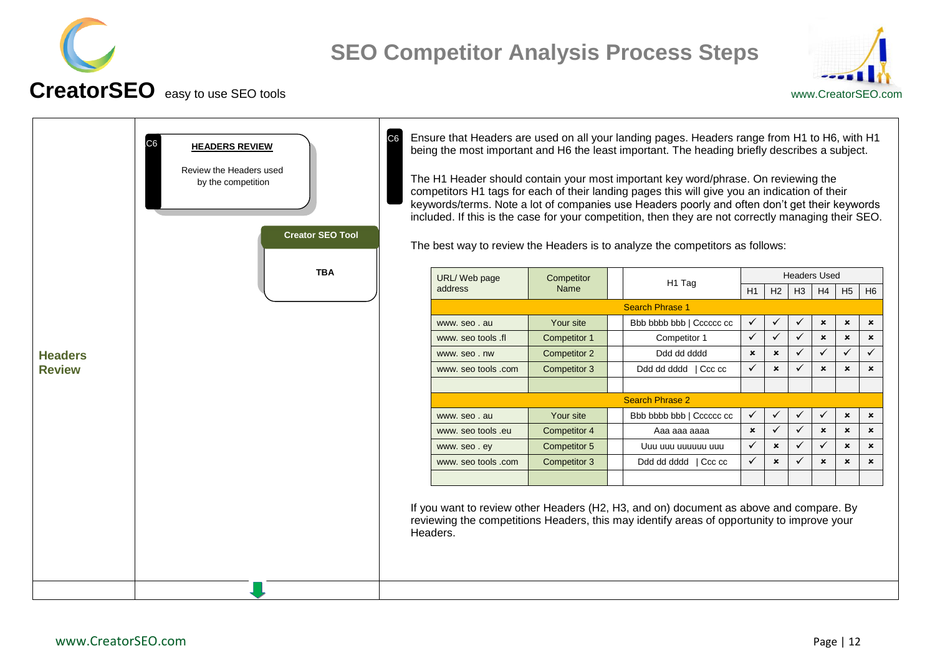



<span id="page-11-0"></span>

|                | C <sub>6</sub><br><b>HEADERS REVIEW</b><br>Review the Headers used<br>by the competition<br><b>Creator SEO Tool</b> |                     |                     | Ensure that Headers are used on all your landing pages. Headers range from H1 to H6, with H1<br>being the most important and H6 the least important. The heading briefly describes a subject.<br>The H1 Header should contain your most important key word/phrase. On reviewing the<br>competitors H1 tags for each of their landing pages this will give you an indication of their<br>keywords/terms. Note a lot of companies use Headers poorly and often don't get their keywords<br>included. If this is the case for your competition, then they are not correctly managing their SEO.<br>The best way to review the Headers is to analyze the competitors as follows: |                           |                           |              |                           |                           |                           |
|----------------|---------------------------------------------------------------------------------------------------------------------|---------------------|---------------------|------------------------------------------------------------------------------------------------------------------------------------------------------------------------------------------------------------------------------------------------------------------------------------------------------------------------------------------------------------------------------------------------------------------------------------------------------------------------------------------------------------------------------------------------------------------------------------------------------------------------------------------------------------------------------|---------------------------|---------------------------|--------------|---------------------------|---------------------------|---------------------------|
|                | <b>TBA</b>                                                                                                          | URL/Web page        | Competitor          | H1 Tag                                                                                                                                                                                                                                                                                                                                                                                                                                                                                                                                                                                                                                                                       |                           |                           |              | <b>Headers Used</b>       |                           |                           |
|                |                                                                                                                     | address             | Name                |                                                                                                                                                                                                                                                                                                                                                                                                                                                                                                                                                                                                                                                                              | H1                        | H <sub>2</sub>            | H3           | H4                        | H <sub>5</sub>            | H <sub>6</sub>            |
|                |                                                                                                                     |                     |                     | <b>Search Phrase 1</b>                                                                                                                                                                                                                                                                                                                                                                                                                                                                                                                                                                                                                                                       |                           |                           |              |                           |                           |                           |
|                |                                                                                                                     | www.seo.au          | Your site           | Bbb bbbb bbb   Cccccc cc                                                                                                                                                                                                                                                                                                                                                                                                                                                                                                                                                                                                                                                     | $\checkmark$              | $\checkmark$              | ✓            | $\pmb{\times}$            | $\boldsymbol{\mathsf{x}}$ | $\pmb{\times}$            |
|                |                                                                                                                     | www. seo tools .fl  | Competitor 1        | Competitor 1                                                                                                                                                                                                                                                                                                                                                                                                                                                                                                                                                                                                                                                                 | $\checkmark$              | $\checkmark$              | ✓            | $\boldsymbol{\mathsf{x}}$ | $\boldsymbol{\mathsf{x}}$ | $\boldsymbol{\mathsf{x}}$ |
| <b>Headers</b> |                                                                                                                     | www.seo.nw          | <b>Competitor 2</b> | Ddd dd dddd                                                                                                                                                                                                                                                                                                                                                                                                                                                                                                                                                                                                                                                                  | $\boldsymbol{\mathsf{x}}$ | $\boldsymbol{\mathsf{x}}$ | ✓            | ✓                         | $\checkmark$              | $\checkmark$              |
| <b>Review</b>  |                                                                                                                     | www. seo tools .com | Competitor 3        | Ddd dd dddd   Ccc cc                                                                                                                                                                                                                                                                                                                                                                                                                                                                                                                                                                                                                                                         | $\checkmark$              | $\pmb{\times}$            | ✓            | $\mathbf{x}$              | $\mathbf{x}$              | $\mathbf{x}$              |
|                |                                                                                                                     |                     |                     | <b>Search Phrase 2</b>                                                                                                                                                                                                                                                                                                                                                                                                                                                                                                                                                                                                                                                       |                           |                           |              |                           |                           |                           |
|                |                                                                                                                     | www.seo.au          | Your site           | Bbb bbbb bbb   Cccccc cc                                                                                                                                                                                                                                                                                                                                                                                                                                                                                                                                                                                                                                                     | $\checkmark$              | $\checkmark$              | $\checkmark$ | ✓                         | $\boldsymbol{\mathsf{x}}$ | $\boldsymbol{\mathsf{x}}$ |
|                |                                                                                                                     | www. seo tools .eu  | <b>Competitor 4</b> | Aaa aaa aaaa                                                                                                                                                                                                                                                                                                                                                                                                                                                                                                                                                                                                                                                                 | $\boldsymbol{\mathsf{x}}$ | $\checkmark$              | $\checkmark$ | $\boldsymbol{\mathsf{x}}$ | $\boldsymbol{\mathsf{x}}$ | $\boldsymbol{\mathsf{x}}$ |
|                |                                                                                                                     | www.seo.ey          | Competitor 5        | Uuu uuu uuuuuu uuu                                                                                                                                                                                                                                                                                                                                                                                                                                                                                                                                                                                                                                                           | $\checkmark$              | $\boldsymbol{\mathsf{x}}$ | $\checkmark$ | ✓                         | $\boldsymbol{\mathsf{x}}$ | $\mathbf{x}$              |
|                |                                                                                                                     | www. seo tools .com | Competitor 3        | Ddd dd dddd   Ccc cc                                                                                                                                                                                                                                                                                                                                                                                                                                                                                                                                                                                                                                                         | $\checkmark$              | $\boldsymbol{\mathsf{x}}$ | ✓            | $\boldsymbol{\mathsf{x}}$ | $\boldsymbol{\mathsf{x}}$ | $\boldsymbol{\mathsf{x}}$ |
|                |                                                                                                                     |                     |                     |                                                                                                                                                                                                                                                                                                                                                                                                                                                                                                                                                                                                                                                                              |                           |                           |              |                           |                           |                           |
|                |                                                                                                                     | Headers.            |                     | If you want to review other Headers (H2, H3, and on) document as above and compare. By<br>reviewing the competitions Headers, this may identify areas of opportunity to improve your                                                                                                                                                                                                                                                                                                                                                                                                                                                                                         |                           |                           |              |                           |                           |                           |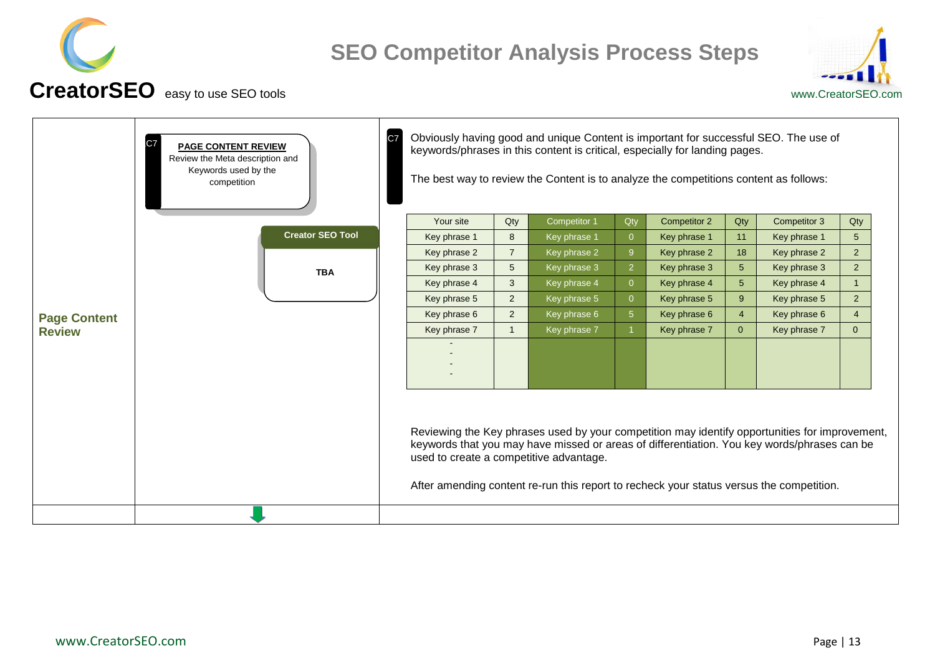



<span id="page-12-0"></span>

|                     | C <sub>7</sub><br><b>PAGE CONTENT REVIEW</b><br>Review the Meta description and<br>Keywords used by the<br>competition | C <sub>7</sub> |                                         |                | Obviously having good and unique Content is important for successful SEO. The use of<br>keywords/phrases in this content is critical, especially for landing pages.<br>The best way to review the Content is to analyze the competitions content as follows:                              |                |                     |                |              |                |
|---------------------|------------------------------------------------------------------------------------------------------------------------|----------------|-----------------------------------------|----------------|-------------------------------------------------------------------------------------------------------------------------------------------------------------------------------------------------------------------------------------------------------------------------------------------|----------------|---------------------|----------------|--------------|----------------|
|                     |                                                                                                                        |                | Your site                               | Qty            | Competitor 1                                                                                                                                                                                                                                                                              | Qty            | <b>Competitor 2</b> | Qty            | Competitor 3 | Qty            |
|                     | <b>Creator SEO Tool</b>                                                                                                |                | Key phrase 1                            | 8              | Key phrase 1                                                                                                                                                                                                                                                                              | $\overline{0}$ | Key phrase 1        | 11             | Key phrase 1 | 5 <sup>5</sup> |
|                     |                                                                                                                        |                | Key phrase 2                            | $\overline{7}$ | Key phrase 2                                                                                                                                                                                                                                                                              | 9              | Key phrase 2        | 18             | Key phrase 2 | 2 <sup>7</sup> |
|                     | <b>TBA</b>                                                                                                             |                | Key phrase 3                            | 5 <sup>5</sup> | Key phrase 3                                                                                                                                                                                                                                                                              | $\overline{2}$ | Key phrase 3        | 5 <sup>5</sup> | Key phrase 3 | 2 <sup>1</sup> |
|                     |                                                                                                                        |                | Key phrase 4                            | 3              | Key phrase 4                                                                                                                                                                                                                                                                              | $\overline{0}$ | Key phrase 4        | 5 <sup>5</sup> | Key phrase 4 | 1              |
|                     |                                                                                                                        |                | Key phrase 5                            | $\overline{2}$ | Key phrase 5                                                                                                                                                                                                                                                                              | $\overline{0}$ | Key phrase 5        | 9              | Key phrase 5 | 2 <sup>1</sup> |
| <b>Page Content</b> |                                                                                                                        |                | Key phrase 6                            | $\overline{2}$ | Key phrase 6                                                                                                                                                                                                                                                                              | 5 <sup>5</sup> | Key phrase 6        | $\overline{4}$ | Key phrase 6 | $\overline{4}$ |
| <b>Review</b>       |                                                                                                                        |                | Key phrase 7                            |                | Key phrase 7                                                                                                                                                                                                                                                                              |                | Key phrase 7        | $\overline{0}$ | Key phrase 7 | $\overline{0}$ |
|                     |                                                                                                                        |                |                                         |                |                                                                                                                                                                                                                                                                                           |                |                     |                |              |                |
|                     |                                                                                                                        |                | used to create a competitive advantage. |                | Reviewing the Key phrases used by your competition may identify opportunities for improvement,<br>keywords that you may have missed or areas of differentiation. You key words/phrases can be<br>After amending content re-run this report to recheck your status versus the competition. |                |                     |                |              |                |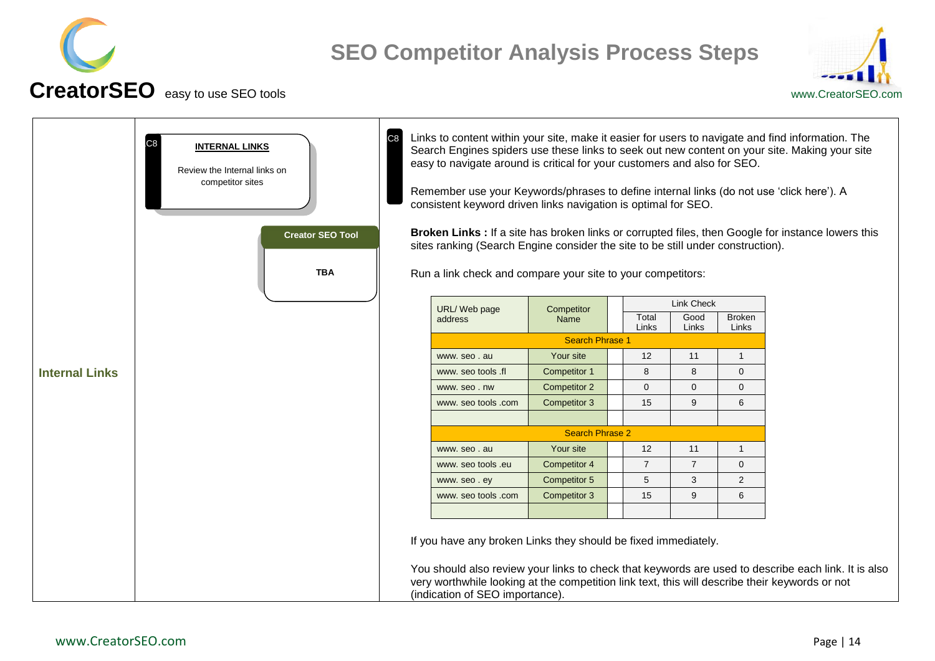



<span id="page-13-0"></span>

|                       | C <sub>8</sub><br><b>INTERNAL LINKS</b><br>Review the Internal links on<br>competitor sites<br><b>Creator SEO Tool</b><br><b>TBA</b> | C <sub>8</sub> | easy to navigate around is critical for your customers and also for SEO.<br>Remember use your Keywords/phrases to define internal links (do not use 'click here'). A<br>consistent keyword driven links navigation is optimal for SEO.<br>sites ranking (Search Engine consider the site to be still under construction).<br>Run a link check and compare your site to your competitors: |                        |                |                |                        | Links to content within your site, make it easier for users to navigate and find information. The<br>Search Engines spiders use these links to seek out new content on your site. Making your site<br>Broken Links : If a site has broken links or corrupted files, then Google for instance lowers this |
|-----------------------|--------------------------------------------------------------------------------------------------------------------------------------|----------------|------------------------------------------------------------------------------------------------------------------------------------------------------------------------------------------------------------------------------------------------------------------------------------------------------------------------------------------------------------------------------------------|------------------------|----------------|----------------|------------------------|----------------------------------------------------------------------------------------------------------------------------------------------------------------------------------------------------------------------------------------------------------------------------------------------------------|
|                       |                                                                                                                                      |                | URL/Web page                                                                                                                                                                                                                                                                                                                                                                             | Competitor             |                | Link Check     |                        |                                                                                                                                                                                                                                                                                                          |
|                       |                                                                                                                                      |                | address                                                                                                                                                                                                                                                                                                                                                                                  | Name                   | Total<br>Links | Good<br>Links  | <b>Broken</b><br>Links |                                                                                                                                                                                                                                                                                                          |
|                       |                                                                                                                                      |                |                                                                                                                                                                                                                                                                                                                                                                                          | <b>Search Phrase 1</b> |                |                |                        |                                                                                                                                                                                                                                                                                                          |
|                       |                                                                                                                                      |                | www.seo.au                                                                                                                                                                                                                                                                                                                                                                               | Your site              | 12             | 11             | $\mathbf 1$            |                                                                                                                                                                                                                                                                                                          |
| <b>Internal Links</b> |                                                                                                                                      |                | www. seo tools .fl                                                                                                                                                                                                                                                                                                                                                                       | <b>Competitor 1</b>    | 8              | 8              | $\mathbf 0$            |                                                                                                                                                                                                                                                                                                          |
|                       |                                                                                                                                      |                | www.seo.nw                                                                                                                                                                                                                                                                                                                                                                               | Competitor 2           | $\mathbf{0}$   | $\mathbf{0}$   | $\Omega$               |                                                                                                                                                                                                                                                                                                          |
|                       |                                                                                                                                      |                | www. seo tools .com                                                                                                                                                                                                                                                                                                                                                                      | Competitor 3           | 15             | 9              | 6                      |                                                                                                                                                                                                                                                                                                          |
|                       |                                                                                                                                      |                |                                                                                                                                                                                                                                                                                                                                                                                          |                        |                |                |                        |                                                                                                                                                                                                                                                                                                          |
|                       |                                                                                                                                      |                |                                                                                                                                                                                                                                                                                                                                                                                          | <b>Search Phrase 2</b> |                |                |                        |                                                                                                                                                                                                                                                                                                          |
|                       |                                                                                                                                      |                | www.seo.au                                                                                                                                                                                                                                                                                                                                                                               | Your site              | 12             | 11             | -1                     |                                                                                                                                                                                                                                                                                                          |
|                       |                                                                                                                                      |                | www. seo tools .eu                                                                                                                                                                                                                                                                                                                                                                       | Competitor 4           | $\overline{7}$ | $\overline{7}$ | $\mathbf{0}$           |                                                                                                                                                                                                                                                                                                          |
|                       |                                                                                                                                      |                | www.seo.ey                                                                                                                                                                                                                                                                                                                                                                               | Competitor 5           | 5              | 3              | $\overline{2}$         |                                                                                                                                                                                                                                                                                                          |
|                       |                                                                                                                                      |                | www. seo tools .com                                                                                                                                                                                                                                                                                                                                                                      | Competitor 3           | 15             | 9              | 6                      |                                                                                                                                                                                                                                                                                                          |
|                       |                                                                                                                                      |                |                                                                                                                                                                                                                                                                                                                                                                                          |                        |                |                |                        |                                                                                                                                                                                                                                                                                                          |
|                       |                                                                                                                                      |                | If you have any broken Links they should be fixed immediately.<br>very worthwhile looking at the competition link text, this will describe their keywords or not<br>(indication of SEO importance).                                                                                                                                                                                      |                        |                |                |                        | You should also review your links to check that keywords are used to describe each link. It is also                                                                                                                                                                                                      |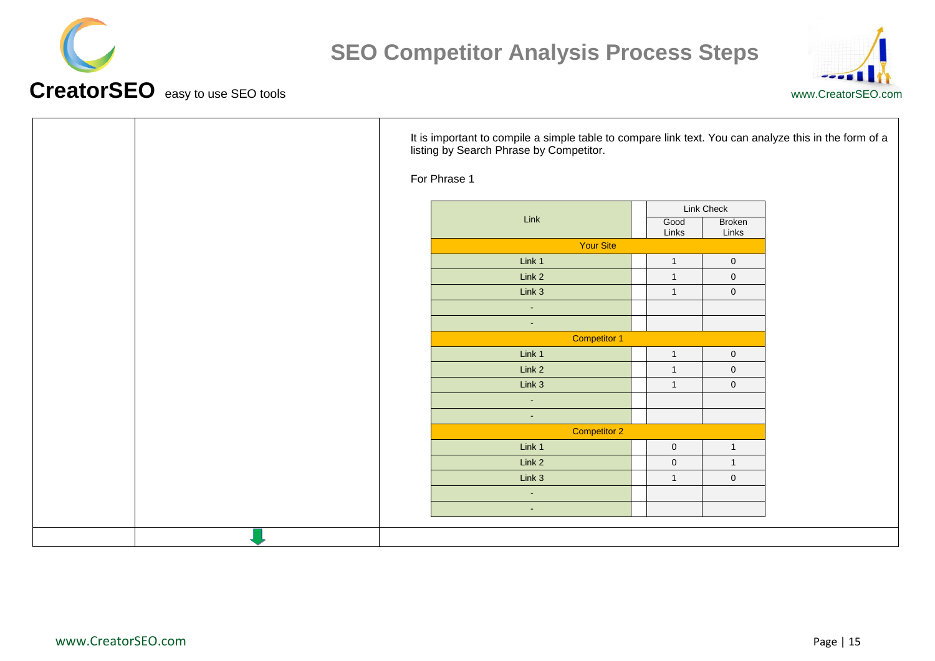



| It is important to compile a simple table to compare link text. You can analyze this in the form of a<br>listing by Search Phrase by Competitor. |                  |                     |                                      |  |  |  |  |  |  |
|--------------------------------------------------------------------------------------------------------------------------------------------------|------------------|---------------------|--------------------------------------|--|--|--|--|--|--|
| For Phrase 1                                                                                                                                     |                  |                     |                                      |  |  |  |  |  |  |
| Link                                                                                                                                             |                  | Good<br>Links       | Link Check<br><b>Broken</b><br>Links |  |  |  |  |  |  |
|                                                                                                                                                  | <b>Your Site</b> |                     |                                      |  |  |  |  |  |  |
| Link 1                                                                                                                                           |                  | $\overline{1}$      | $\mathsf{O}\xspace$                  |  |  |  |  |  |  |
| Link 2                                                                                                                                           |                  | $\overline{1}$      | $\overline{0}$                       |  |  |  |  |  |  |
| Link 3                                                                                                                                           |                  | $\mathbf{1}$        | $\mathsf{O}\xspace$                  |  |  |  |  |  |  |
| $\sim$                                                                                                                                           |                  |                     |                                      |  |  |  |  |  |  |
| $\sim$                                                                                                                                           |                  |                     |                                      |  |  |  |  |  |  |
|                                                                                                                                                  | Competitor 1     |                     |                                      |  |  |  |  |  |  |
| Link 1                                                                                                                                           |                  | $\overline{1}$      | $\mathsf{O}\xspace$                  |  |  |  |  |  |  |
| Link 2                                                                                                                                           |                  | $\overline{1}$      | $\mathsf{O}\xspace$                  |  |  |  |  |  |  |
| Link 3                                                                                                                                           |                  | $\overline{1}$      | $\mathsf{O}\xspace$                  |  |  |  |  |  |  |
| $\sim$                                                                                                                                           |                  |                     |                                      |  |  |  |  |  |  |
| $\sim$                                                                                                                                           |                  |                     |                                      |  |  |  |  |  |  |
|                                                                                                                                                  | Competitor 2     |                     |                                      |  |  |  |  |  |  |
| Link 1                                                                                                                                           |                  | $\mathbf 0$         | $\mathbf{1}$                         |  |  |  |  |  |  |
| Link 2                                                                                                                                           |                  | $\mathsf{O}\xspace$ | $\mathbf{1}$                         |  |  |  |  |  |  |
| Link 3                                                                                                                                           |                  | $\overline{1}$      | $\mathsf{O}\xspace$                  |  |  |  |  |  |  |
| $\sim$                                                                                                                                           |                  |                     |                                      |  |  |  |  |  |  |
| $\sim$                                                                                                                                           |                  |                     |                                      |  |  |  |  |  |  |
|                                                                                                                                                  |                  |                     |                                      |  |  |  |  |  |  |
|                                                                                                                                                  |                  |                     |                                      |  |  |  |  |  |  |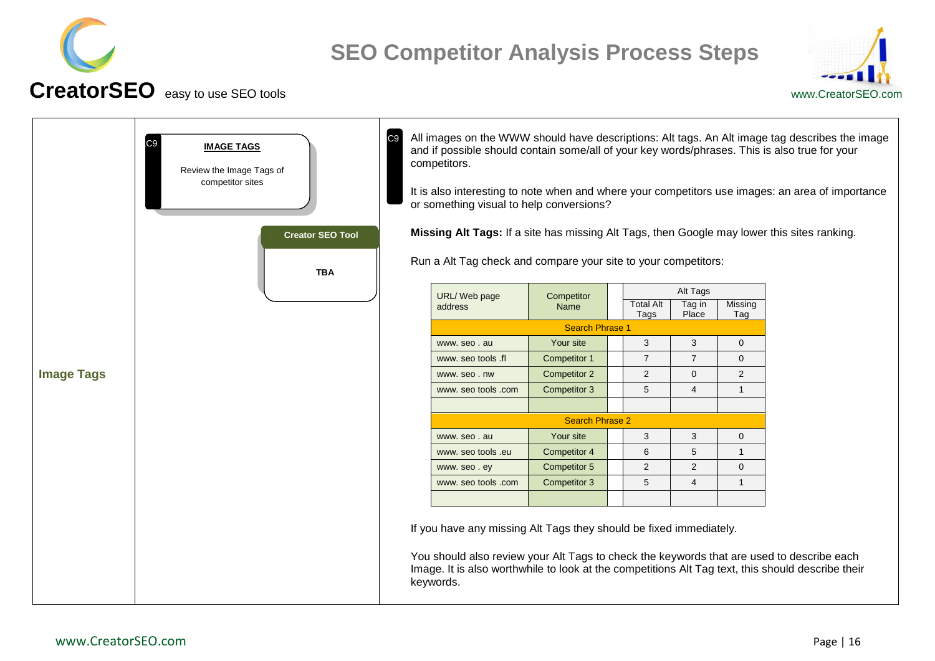



<span id="page-15-0"></span>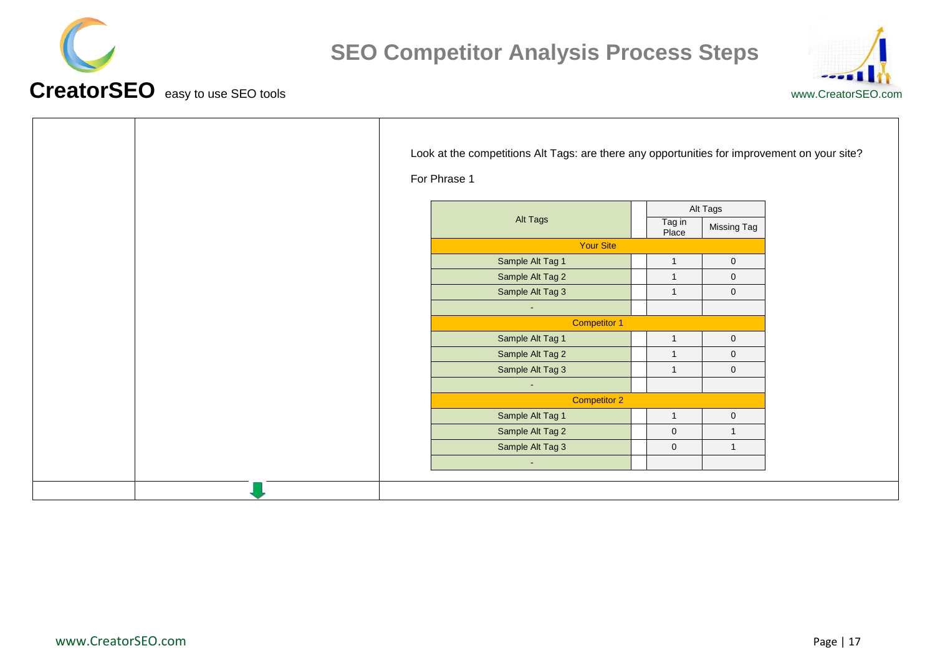



| For Phrase 1 | Look at the competitions Alt Tags: are there any opportunities for improvement on your site? |                 |              |                  |
|--------------|----------------------------------------------------------------------------------------------|-----------------|--------------|------------------|
|              |                                                                                              | Alt Tags        |              |                  |
|              | Alt Tags                                                                                     | Tag in<br>Place | Missing Tag  |                  |
|              | Your Site                                                                                    |                 |              |                  |
|              | Sample Alt Tag 1                                                                             |                 | $\mathbf{1}$ | $\mathbf 0$      |
|              | Sample Alt Tag 2                                                                             |                 | $\mathbf{1}$ | $\boldsymbol{0}$ |
|              | Sample Alt Tag 3                                                                             |                 | $\mathbf{1}$ | $\boldsymbol{0}$ |
|              | $\sim$                                                                                       |                 |              |                  |
|              | <b>Competitor 1</b>                                                                          |                 |              |                  |
|              | Sample Alt Tag 1                                                                             |                 | $\mathbf{1}$ | $\pmb{0}$        |
|              | Sample Alt Tag 2                                                                             |                 | $\mathbf{1}$ | $\overline{0}$   |
|              | Sample Alt Tag 3                                                                             |                 | $\mathbf{1}$ | $\mathbf 0$      |
|              | $\sim$                                                                                       |                 |              |                  |
|              | Competitor 2                                                                                 |                 |              |                  |
|              | Sample Alt Tag 1                                                                             |                 | $\mathbf{1}$ | $\boldsymbol{0}$ |
|              | Sample Alt Tag 2                                                                             |                 | $\pmb{0}$    | $\overline{1}$   |
|              | Sample Alt Tag 3                                                                             |                 | $\pmb{0}$    | $\mathbf{1}$     |
|              | $\sim$                                                                                       |                 |              |                  |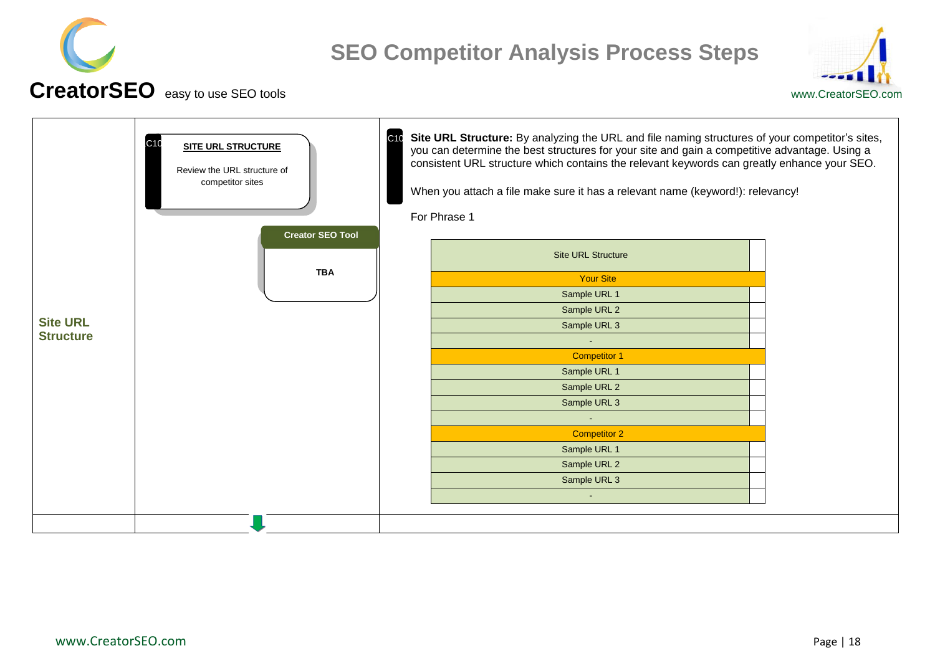



<span id="page-17-0"></span>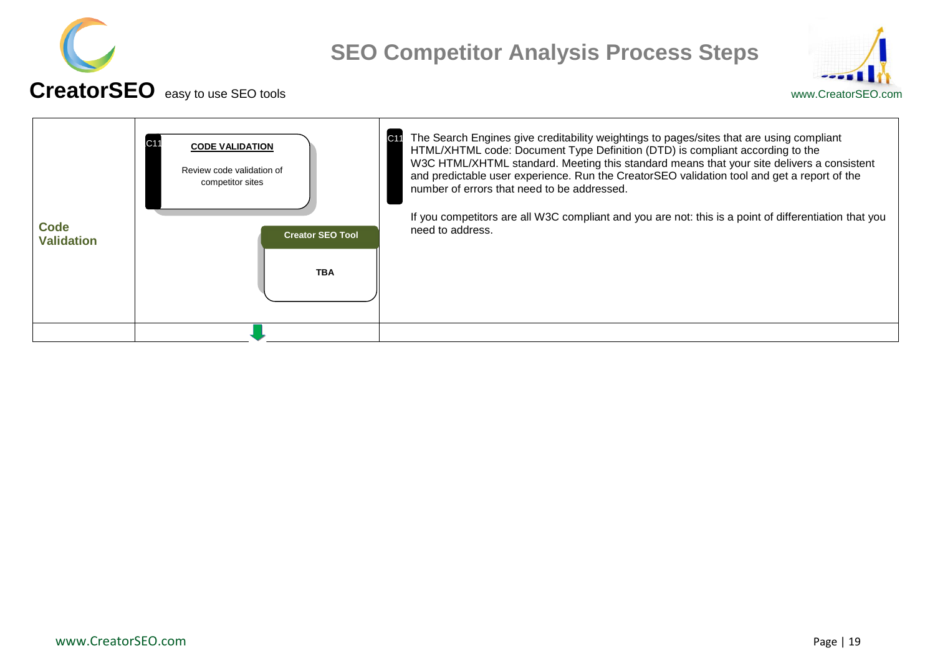



#### <span id="page-18-0"></span>**Code Validation** The Search Engines give creditability weightings to pages/sites that are using compliant HTML/XHTML code: Document Type Definition (DTD) is compliant according to the W3C HTML/XHTML standard. Meeting this standard means that your site delivers a consistent and predictable user experience. Run the CreatorSEO validation tool and get a report of the number of errors that need to be addressed. If you competitors are all W3C compliant and you are not: this is a point of differentiation that you need to address. **CODE VALIDATION** Review code validation of competitor sites **TBA Creator SEO Tool**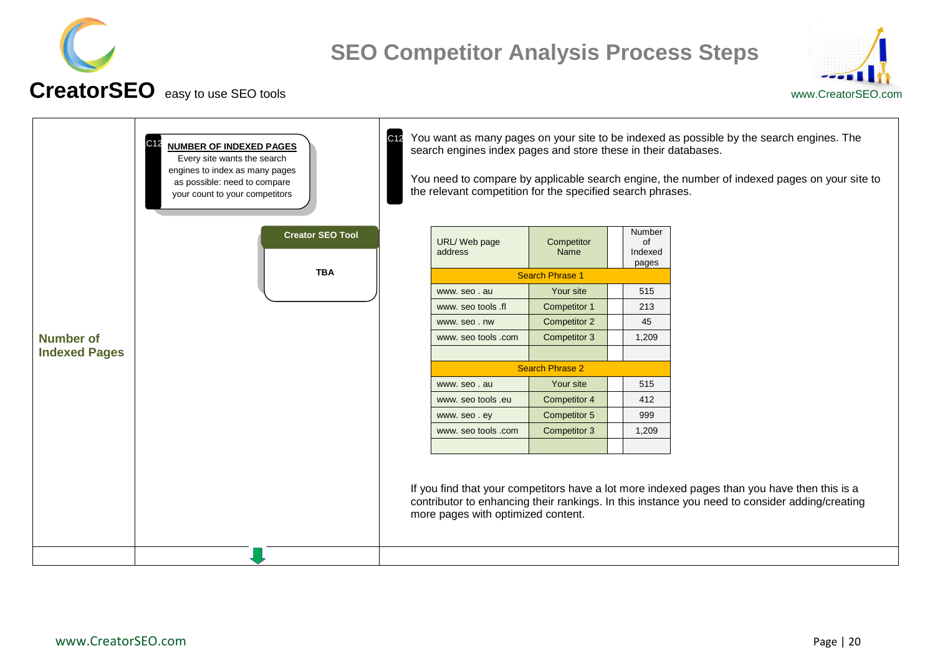



<span id="page-19-0"></span>

| You need to compare by applicable search engine, the number of indexed pages on your site to                                                                                                   |
|------------------------------------------------------------------------------------------------------------------------------------------------------------------------------------------------|
|                                                                                                                                                                                                |
|                                                                                                                                                                                                |
|                                                                                                                                                                                                |
|                                                                                                                                                                                                |
|                                                                                                                                                                                                |
|                                                                                                                                                                                                |
|                                                                                                                                                                                                |
|                                                                                                                                                                                                |
|                                                                                                                                                                                                |
|                                                                                                                                                                                                |
|                                                                                                                                                                                                |
|                                                                                                                                                                                                |
|                                                                                                                                                                                                |
| If you find that your competitors have a lot more indexed pages than you have then this is a<br>contributor to enhancing their rankings. In this instance you need to consider adding/creating |
|                                                                                                                                                                                                |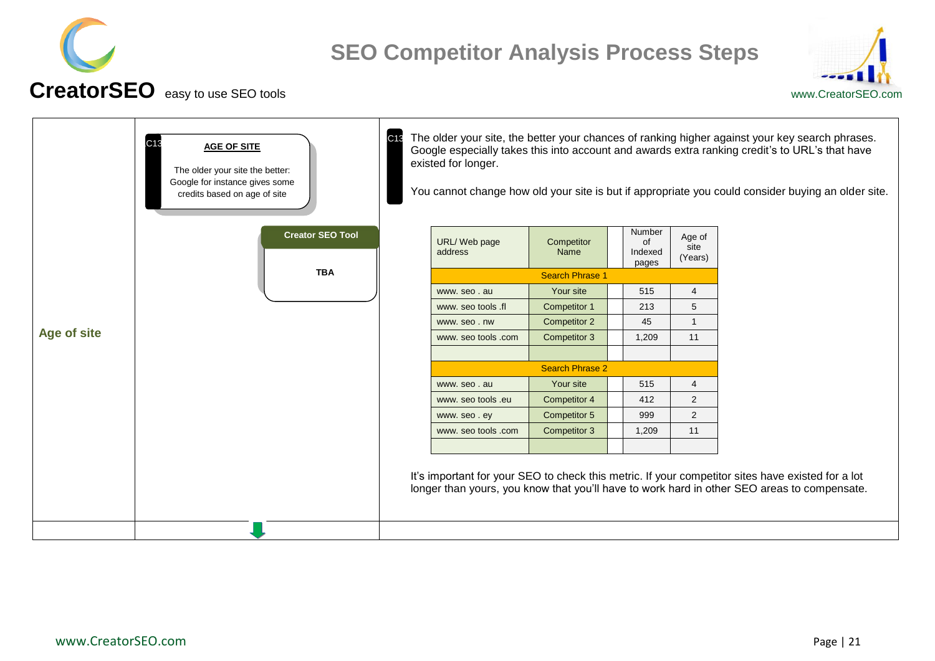



<span id="page-20-0"></span>

|             | C13<br><b>AGE OF SITE</b><br>The older your site the better:<br>Google for instance gives some<br>credits based on age of site | C13 | existed for longer.                |                        |                                  |                           | The older your site, the better your chances of ranking higher against your key search phrases.<br>Google especially takes this into account and awards extra ranking credit's to URL's that have<br>You cannot change how old your site is but if appropriate you could consider buying an older site. |
|-------------|--------------------------------------------------------------------------------------------------------------------------------|-----|------------------------------------|------------------------|----------------------------------|---------------------------|---------------------------------------------------------------------------------------------------------------------------------------------------------------------------------------------------------------------------------------------------------------------------------------------------------|
|             | <b>Creator SEO Tool</b>                                                                                                        |     | URL/Web page<br>address            | Competitor<br>Name     | Number<br>of<br>Indexed<br>pages | Age of<br>site<br>(Years) |                                                                                                                                                                                                                                                                                                         |
|             | <b>TBA</b>                                                                                                                     |     |                                    | <b>Search Phrase 1</b> |                                  |                           |                                                                                                                                                                                                                                                                                                         |
|             |                                                                                                                                |     | www.seo.au                         | Your site              | 515                              | $\overline{4}$            |                                                                                                                                                                                                                                                                                                         |
|             |                                                                                                                                |     | Competitor 1<br>www. seo tools .fl | 213                    | 5                                |                           |                                                                                                                                                                                                                                                                                                         |
|             |                                                                                                                                |     | www.seo.nw                         | Competitor 2           | 45                               | $\mathbf{1}$              |                                                                                                                                                                                                                                                                                                         |
| Age of site |                                                                                                                                |     | www. seo tools .com                | Competitor 3           | 1,209                            | 11                        |                                                                                                                                                                                                                                                                                                         |
|             |                                                                                                                                |     |                                    |                        |                                  |                           |                                                                                                                                                                                                                                                                                                         |
|             |                                                                                                                                |     |                                    | <b>Search Phrase 2</b> |                                  |                           |                                                                                                                                                                                                                                                                                                         |
|             |                                                                                                                                |     | www.seo.au                         | Your site              | 515                              | $\overline{4}$            |                                                                                                                                                                                                                                                                                                         |
|             |                                                                                                                                |     | www. seo tools .eu                 | Competitor 4           | 412                              | 2                         |                                                                                                                                                                                                                                                                                                         |
|             |                                                                                                                                |     | www.seo.ey                         | Competitor 5           | 999                              | 2                         |                                                                                                                                                                                                                                                                                                         |
|             |                                                                                                                                |     | www. seo tools .com                | Competitor 3           | 1,209                            | 11                        |                                                                                                                                                                                                                                                                                                         |
|             |                                                                                                                                |     |                                    |                        |                                  |                           |                                                                                                                                                                                                                                                                                                         |
|             |                                                                                                                                |     |                                    |                        |                                  |                           | It's important for your SEO to check this metric. If your competitor sites have existed for a lot<br>longer than yours, you know that you'll have to work hard in other SEO areas to compensate.                                                                                                        |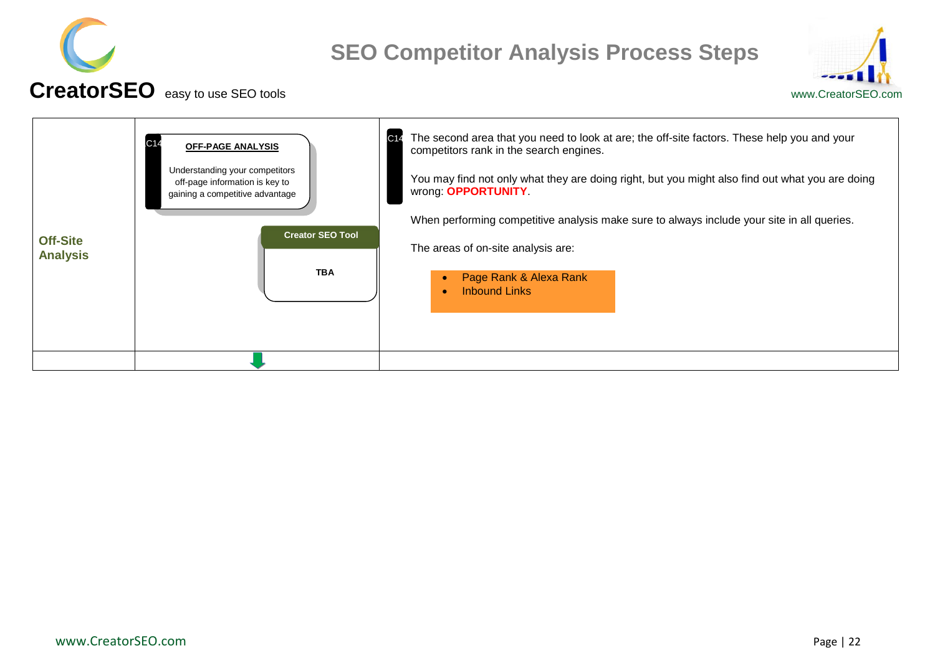



#### <span id="page-21-0"></span>**Off-Site Analysis** The second area that you need to look at are; the off-site factors. These help you and your competitors rank in the search engines. You may find not only what they are doing right, but you might also find out what you are doing wrong: **OPPORTUNITY**. When performing competitive analysis make sure to always include your site in all queries. The areas of on-site analysis are: Page Rank & Alexa Rank • Inbound Links **OFF-PAGE ANALYSIS** Understanding your competitors off-page information is key to gaining a competitive advantage  $C14$ **TBA Creator SEO Tool**  $C<sub>14</sub>$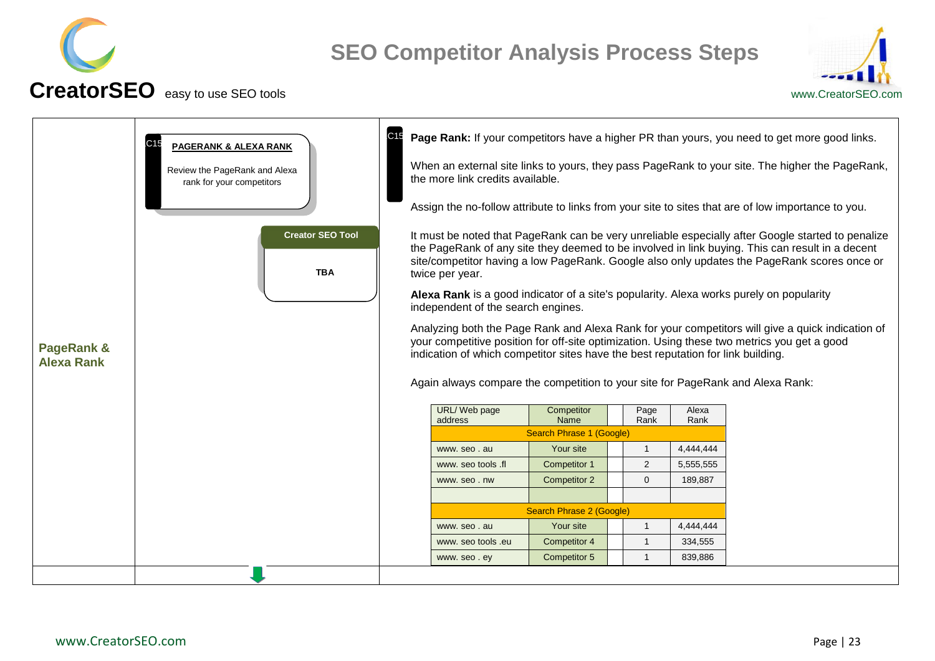



<span id="page-22-0"></span>

| <b>PageRank &amp;</b><br><b>Alexa Rank</b> | C15<br><b>PAGERANK &amp; ALEXA RANK</b><br>Review the PageRank and Alexa<br>rank for your competitors<br><b>Creator SEO Tool</b><br><b>TBA</b> | C <sub>15</sub> | the more link credits available.<br>twice per year.<br>Alexa Rank is a good indicator of a site's popularity. Alexa works purely on popularity<br>independent of the search engines.<br>indication of which competitor sites have the best reputation for link building.<br>Again always compare the competition to your site for PageRank and Alexa Rank:<br>URL/Web page<br>address<br>www.seo.au<br>www. seo tools .fl<br>www.seo.nw | Competitor<br>Name<br>Search Phrase 1 (Google)<br>Your site<br>Competitor 1<br><b>Competitor 2</b><br>Search Phrase 2 (Google) | Page<br>Rank<br>$\mathbf{1}$<br>2<br>$\Omega$ | Alexa<br>Rank<br>4,444,444<br>5,555,555<br>189,887 | Page Rank: If your competitors have a higher PR than yours, you need to get more good links.<br>When an external site links to yours, they pass PageRank to your site. The higher the PageRank,<br>Assign the no-follow attribute to links from your site to sites that are of low importance to you.<br>It must be noted that PageRank can be very unreliable especially after Google started to penalize<br>the PageRank of any site they deemed to be involved in link buying. This can result in a decent<br>site/competitor having a low PageRank. Google also only updates the PageRank scores once or<br>Analyzing both the Page Rank and Alexa Rank for your competitors will give a quick indication of<br>your competitive position for off-site optimization. Using these two metrics you get a good |
|--------------------------------------------|------------------------------------------------------------------------------------------------------------------------------------------------|-----------------|-----------------------------------------------------------------------------------------------------------------------------------------------------------------------------------------------------------------------------------------------------------------------------------------------------------------------------------------------------------------------------------------------------------------------------------------|--------------------------------------------------------------------------------------------------------------------------------|-----------------------------------------------|----------------------------------------------------|-----------------------------------------------------------------------------------------------------------------------------------------------------------------------------------------------------------------------------------------------------------------------------------------------------------------------------------------------------------------------------------------------------------------------------------------------------------------------------------------------------------------------------------------------------------------------------------------------------------------------------------------------------------------------------------------------------------------------------------------------------------------------------------------------------------------|
|                                            |                                                                                                                                                |                 | www. seo tools .eu<br>www.seo.ey                                                                                                                                                                                                                                                                                                                                                                                                        | Competitor 4<br><b>Competitor 5</b>                                                                                            | $\mathbf{1}$<br>$\overline{1}$                | 334,555<br>839,886                                 |                                                                                                                                                                                                                                                                                                                                                                                                                                                                                                                                                                                                                                                                                                                                                                                                                 |
|                                            |                                                                                                                                                |                 |                                                                                                                                                                                                                                                                                                                                                                                                                                         |                                                                                                                                |                                               |                                                    |                                                                                                                                                                                                                                                                                                                                                                                                                                                                                                                                                                                                                                                                                                                                                                                                                 |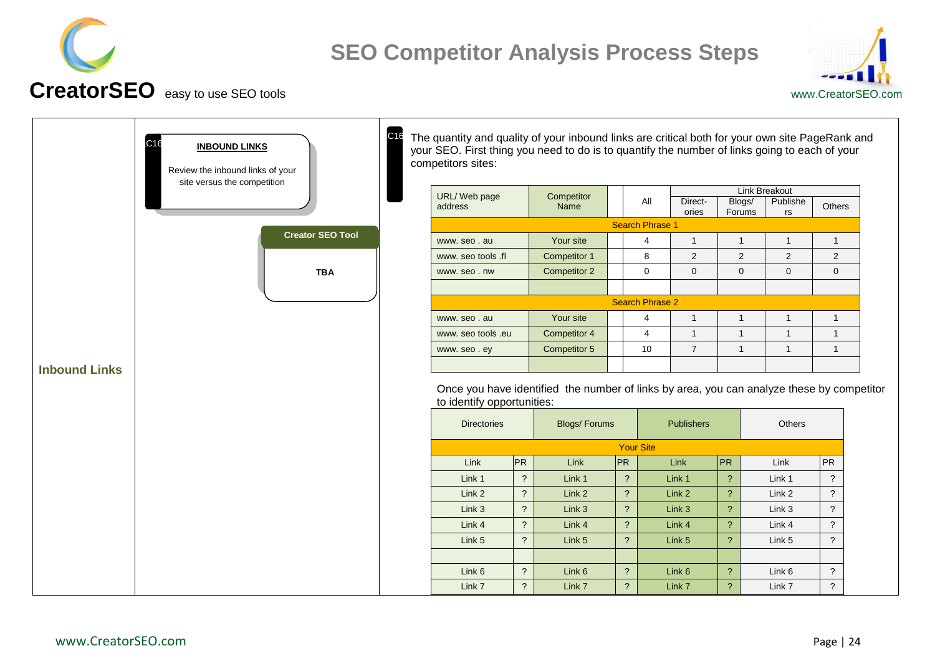



<span id="page-23-0"></span>

| C <sub>16</sub><br><b>INBOUND LINKS</b><br>Review the inbound links of your<br>site versus the competition | C16 | The quantity and quality of your inbound links are critical both for your own site PageRank and<br>your SEO. First thing you need to do is to quantify the number of links going to each of your<br>competitors sites: |                      |                     |    |                          |                  |                  |                |                          |
|------------------------------------------------------------------------------------------------------------|-----|------------------------------------------------------------------------------------------------------------------------------------------------------------------------------------------------------------------------|----------------------|---------------------|----|--------------------------|------------------|------------------|----------------|--------------------------|
|                                                                                                            |     | URL/Web page                                                                                                                                                                                                           |                      | Competitor          |    |                          |                  |                  | Link Breakout  |                          |
|                                                                                                            |     | address                                                                                                                                                                                                                |                      | Name                |    | All                      | Direct-<br>ories | Blogs/<br>Forums | Publishe<br>rs | Others                   |
|                                                                                                            |     |                                                                                                                                                                                                                        |                      |                     |    | <b>Search Phrase 1</b>   |                  |                  |                |                          |
| <b>Creator SEO Tool</b>                                                                                    |     | www.seo.au                                                                                                                                                                                                             |                      | Your site           |    | $\overline{4}$           | $\mathbf{1}$     | $\mathbf{1}$     | $\overline{1}$ | $\mathbf{1}$             |
|                                                                                                            |     | www. seo tools .fl                                                                                                                                                                                                     |                      | Competitor 1        |    | 8                        | 2                | $\overline{2}$   | $\overline{2}$ | $\overline{2}$           |
| <b>TBA</b>                                                                                                 |     | www.seo.nw                                                                                                                                                                                                             |                      | Competitor 2        |    | $\mathbf 0$              | $\overline{0}$   | $\mathbf 0$      | $\mathbf 0$    | $\mathbf 0$              |
|                                                                                                            |     |                                                                                                                                                                                                                        |                      |                     |    |                          |                  |                  |                |                          |
|                                                                                                            |     |                                                                                                                                                                                                                        |                      |                     |    | <b>Search Phrase 2</b>   |                  |                  |                |                          |
|                                                                                                            |     | www.seo.au                                                                                                                                                                                                             |                      | Your site           |    | 4                        | $\overline{1}$   | $\mathbf{1}$     | $\mathbf{1}$   | $\mathbf{1}$             |
|                                                                                                            |     | www. seo tools .eu                                                                                                                                                                                                     |                      | Competitor 4        |    | $\overline{4}$           | $\overline{1}$   | $\mathbf{1}$     | $\overline{1}$ | $\mathbf{1}$             |
|                                                                                                            |     | www.seo.ey                                                                                                                                                                                                             |                      | Competitor 5        |    | 10                       | $\overline{7}$   | $\mathbf{1}$     | $\mathbf{1}$   | $\mathbf{1}$             |
| <b>Inbound Links</b>                                                                                       |     | Once you have identified the number of links by area, you can analyze these by competitor<br>to identify opportunities:<br><b>Directories</b>                                                                          |                      | <b>Blogs/Forums</b> |    |                          | Publishers       |                  |                |                          |
|                                                                                                            |     |                                                                                                                                                                                                                        |                      |                     |    |                          |                  |                  | Others         |                          |
|                                                                                                            |     |                                                                                                                                                                                                                        |                      |                     |    | <b>Your Site</b>         |                  |                  |                |                          |
|                                                                                                            |     | Link                                                                                                                                                                                                                   | <b>PR</b>            | Link                | PR |                          | Link             | PR               | Link           | <b>PR</b>                |
|                                                                                                            |     | Link 1                                                                                                                                                                                                                 | $\overline{?}$       | Link 1              |    | $\tilde{?}$              | Link 1           | $\overline{?}$   | Link 1         | $\ddot{\phantom{0}}$     |
|                                                                                                            |     | Link 2                                                                                                                                                                                                                 | $\ddot{\phantom{0}}$ | Link 2              |    | $\tilde{?}$              | Link 2           | $\overline{?}$   | Link 2         | $\overline{\mathcal{E}}$ |
|                                                                                                            |     | Link <sub>3</sub>                                                                                                                                                                                                      | $\overline{?}$       | Link 3              |    | $\tilde{?}$              | Link 3           | $\gamma$         | Link 3         | $\tilde{?}$              |
|                                                                                                            |     | Link 4                                                                                                                                                                                                                 | $\overline{?}$       | Link 4              |    | $\tilde{?}$              | Link 4           | $\overline{?}$   | Link 4         | $\overline{\mathcal{E}}$ |
|                                                                                                            |     | Link 5                                                                                                                                                                                                                 | $\overline{?}$       | Link 5              |    | $\tilde{?}$              | Link 5           | $\overline{?}$   | Link 5         | $\ddot{?}$               |
|                                                                                                            |     | Link 6                                                                                                                                                                                                                 | $\overline{?}$       | Link 6              |    | $\overline{\mathcal{E}}$ | Link 6           | $\overline{?}$   | Link 6         | $\ddot{?}$               |